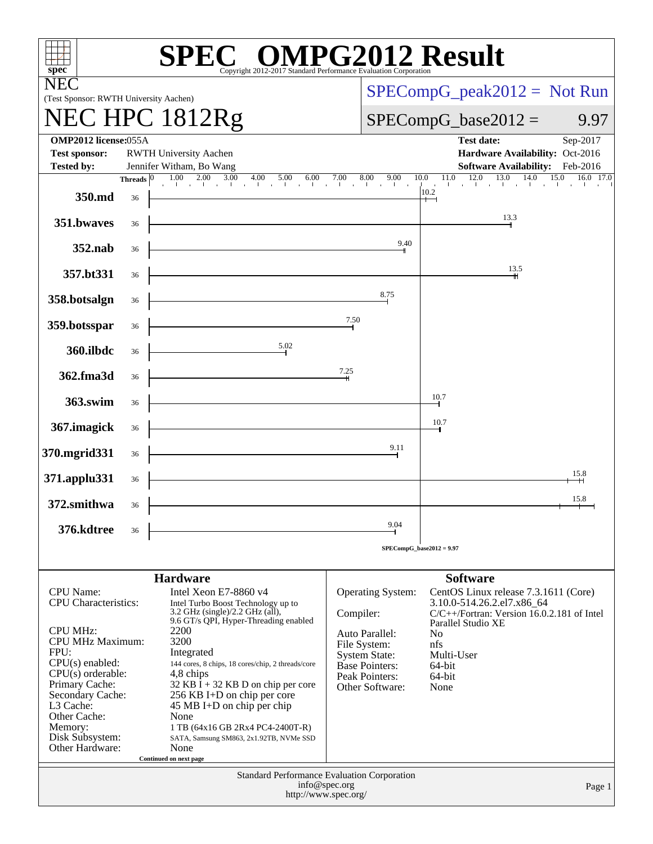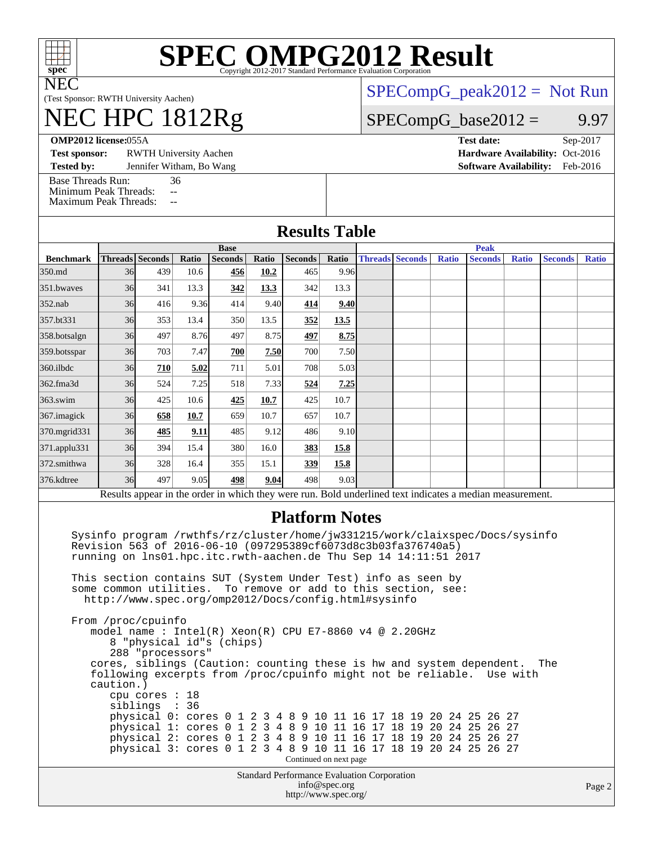

NEC

# **[SPEC OMPG2012 Result](http://www.spec.org/auto/omp2012/Docs/result-fields.html#SPECOMPG2012Result)**

(Test Sponsor: RWTH University Aachen)

## NEC HPC 1812Rg

[SPECompG\\_peak2012 =](http://www.spec.org/auto/omp2012/Docs/result-fields.html#SPECompGpeak2012) Not Run

 $SPECompG_base2012 = 9.97$  $SPECompG_base2012 = 9.97$ 

**[OMP2012 license:](http://www.spec.org/auto/omp2012/Docs/result-fields.html#OMP2012license)**055A **[Test date:](http://www.spec.org/auto/omp2012/Docs/result-fields.html#Testdate)** Sep-2017

**[Test sponsor:](http://www.spec.org/auto/omp2012/Docs/result-fields.html#Testsponsor)** RWTH University Aachen **[Hardware Availability:](http://www.spec.org/auto/omp2012/Docs/result-fields.html#HardwareAvailability)** Oct-2016

**[Tested by:](http://www.spec.org/auto/omp2012/Docs/result-fields.html#Testedby)** Jennifer Witham, Bo Wang **[Software Availability:](http://www.spec.org/auto/omp2012/Docs/result-fields.html#SoftwareAvailability)** Feb-2016

[Base Threads Run:](http://www.spec.org/auto/omp2012/Docs/result-fields.html#BaseThreadsRun) 36

[Minimum Peak Threads:](http://www.spec.org/auto/omp2012/Docs/result-fields.html#MinimumPeakThreads) --<br>Maximum Peak Threads: --

[Maximum Peak Threads:](http://www.spec.org/auto/omp2012/Docs/result-fields.html#MaximumPeakThreads)

|                                                                                                                                                                                                                                                                                                                                                                                                                                      | <b>Results Table</b>                                                                       |                                                  |               |                          |       |                        |               |                        |  |              |                                                                                                                                                                                                                                                                                                                                                                                                                               |              |                |              |
|--------------------------------------------------------------------------------------------------------------------------------------------------------------------------------------------------------------------------------------------------------------------------------------------------------------------------------------------------------------------------------------------------------------------------------------|--------------------------------------------------------------------------------------------|--------------------------------------------------|---------------|--------------------------|-------|------------------------|---------------|------------------------|--|--------------|-------------------------------------------------------------------------------------------------------------------------------------------------------------------------------------------------------------------------------------------------------------------------------------------------------------------------------------------------------------------------------------------------------------------------------|--------------|----------------|--------------|
|                                                                                                                                                                                                                                                                                                                                                                                                                                      |                                                                                            |                                                  |               | <b>Base</b>              |       |                        |               |                        |  |              | <b>Peak</b>                                                                                                                                                                                                                                                                                                                                                                                                                   |              |                |              |
| <b>Benchmark</b><br>350.md                                                                                                                                                                                                                                                                                                                                                                                                           | <b>Threads Seconds</b><br>36                                                               | 439                                              | Ratio<br>10.6 | <b>Seconds</b>           | Ratio | Seconds                | Ratio<br>9.96 | <b>Threads Seconds</b> |  | <b>Ratio</b> | <b>Seconds</b>                                                                                                                                                                                                                                                                                                                                                                                                                | <b>Ratio</b> | <b>Seconds</b> | <b>Ratio</b> |
|                                                                                                                                                                                                                                                                                                                                                                                                                                      |                                                                                            |                                                  |               | 456                      | 10.2  | 465                    |               |                        |  |              |                                                                                                                                                                                                                                                                                                                                                                                                                               |              |                |              |
| 351.bwayes                                                                                                                                                                                                                                                                                                                                                                                                                           | 36                                                                                         | 341                                              | 13.3          | 342                      | 13.3  | 342                    | 13.3          |                        |  |              |                                                                                                                                                                                                                                                                                                                                                                                                                               |              |                |              |
| 352.nab                                                                                                                                                                                                                                                                                                                                                                                                                              | 36                                                                                         | 416                                              | 9.36          | 414                      | 9.40  | 414                    | 9.40          |                        |  |              |                                                                                                                                                                                                                                                                                                                                                                                                                               |              |                |              |
| 357.bt331                                                                                                                                                                                                                                                                                                                                                                                                                            | 36                                                                                         | 353                                              | 13.4          | 350                      | 13.5  | 352                    | 13.5          |                        |  |              |                                                                                                                                                                                                                                                                                                                                                                                                                               |              |                |              |
| 358.botsalgn                                                                                                                                                                                                                                                                                                                                                                                                                         | 36 <sup>I</sup>                                                                            | 497                                              | 8.76          | 497                      | 8.75  | 497                    | 8.75          |                        |  |              |                                                                                                                                                                                                                                                                                                                                                                                                                               |              |                |              |
| 359.botsspar                                                                                                                                                                                                                                                                                                                                                                                                                         | 36                                                                                         | 703                                              | 7.47          | 700                      | 7.50  | 700                    | 7.50          |                        |  |              |                                                                                                                                                                                                                                                                                                                                                                                                                               |              |                |              |
| 360.ilbdc                                                                                                                                                                                                                                                                                                                                                                                                                            | 36                                                                                         | 710                                              | 5.02          | 711                      | 5.01  | 708                    | 5.03          |                        |  |              |                                                                                                                                                                                                                                                                                                                                                                                                                               |              |                |              |
| 362.fma3d                                                                                                                                                                                                                                                                                                                                                                                                                            | 36                                                                                         | 524                                              | 7.25          | 518                      | 7.33  | 524                    | 7.25          |                        |  |              |                                                                                                                                                                                                                                                                                                                                                                                                                               |              |                |              |
| 363.swim                                                                                                                                                                                                                                                                                                                                                                                                                             | 36                                                                                         | 425                                              | 10.6          | 425                      | 10.7  | 425                    | 10.7          |                        |  |              |                                                                                                                                                                                                                                                                                                                                                                                                                               |              |                |              |
| 367. imagick                                                                                                                                                                                                                                                                                                                                                                                                                         | 36                                                                                         | 658                                              | 10.7          | 659                      | 10.7  | 657                    | 10.7          |                        |  |              |                                                                                                                                                                                                                                                                                                                                                                                                                               |              |                |              |
| 370.mgrid331                                                                                                                                                                                                                                                                                                                                                                                                                         | 36                                                                                         | 485                                              | 9.11          | 485                      | 9.12  | 486                    | 9.10          |                        |  |              |                                                                                                                                                                                                                                                                                                                                                                                                                               |              |                |              |
| 371.applu331                                                                                                                                                                                                                                                                                                                                                                                                                         | 36                                                                                         | 394                                              | 15.4          | 380                      | 16.0  | 383                    | 15.8          |                        |  |              |                                                                                                                                                                                                                                                                                                                                                                                                                               |              |                |              |
| 372.smithwa                                                                                                                                                                                                                                                                                                                                                                                                                          | 36                                                                                         | 328                                              | 16.4          | 355                      | 15.1  | 339                    | 15.8          |                        |  |              |                                                                                                                                                                                                                                                                                                                                                                                                                               |              |                |              |
| 376.kdtree                                                                                                                                                                                                                                                                                                                                                                                                                           | 36                                                                                         | 497                                              | 9.05          | 498                      | 9.04  | 498                    | 9.03          |                        |  |              |                                                                                                                                                                                                                                                                                                                                                                                                                               |              |                |              |
|                                                                                                                                                                                                                                                                                                                                                                                                                                      |                                                                                            |                                                  |               |                          |       |                        |               |                        |  |              | Results appear in the order in which they were run. Bold underlined text indicates a median measurement.                                                                                                                                                                                                                                                                                                                      |              |                |              |
| <b>Platform Notes</b><br>Sysinfo program /rwthfs/rz/cluster/home/jw331215/work/claixspec/Docs/sysinfo<br>Revision 563 of 2016-06-10 (097295389cf6073d8c3b03fa376740a5)<br>running on lns01.hpc.itc.rwth-aachen.de Thu Sep 14 14:11:51 2017<br>This section contains SUT (System Under Test) info as seen by<br>some common utilities. To remove or add to this section, see:<br>http://www.spec.org/omp2012/Docs/config.html#sysinfo |                                                                                            |                                                  |               |                          |       |                        |               |                        |  |              |                                                                                                                                                                                                                                                                                                                                                                                                                               |              |                |              |
|                                                                                                                                                                                                                                                                                                                                                                                                                                      | From /proc/cpuinfo<br>model name: $Intel(R)$ Xeon(R) CPU E7-8860 v4 @ 2.20GHz<br>caution.) | 288 "processors"<br>cpu cores :<br>siblings : 36 | 18            | 8 "physical id"s (chips) |       | Continued on next page |               |                        |  |              | cores, siblings (Caution: counting these is hw and system dependent.<br>following excerpts from /proc/cpuinfo might not be reliable. Use with<br>physical 0: cores 0 1 2 3 4 8 9 10 11 16 17 18 19 20 24 25 26 27<br>physical 1: cores 0 1 2 3 4 8 9 10 11 16 17 18 19 20 24 25 26 27<br>physical 2: cores 0 1 2 3 4 8 9 10 11 16 17 18 19 20 24 25 26 27<br>physical 3: cores 0 1 2 3 4 8 9 10 11 16 17 18 19 20 24 25 26 27 |              | The            |              |
|                                                                                                                                                                                                                                                                                                                                                                                                                                      | Standard Performance Evaluation Corporation<br>info@spec.org<br>http://www.spec.org/       |                                                  |               |                          |       |                        |               |                        |  |              |                                                                                                                                                                                                                                                                                                                                                                                                                               |              |                | Page 2       |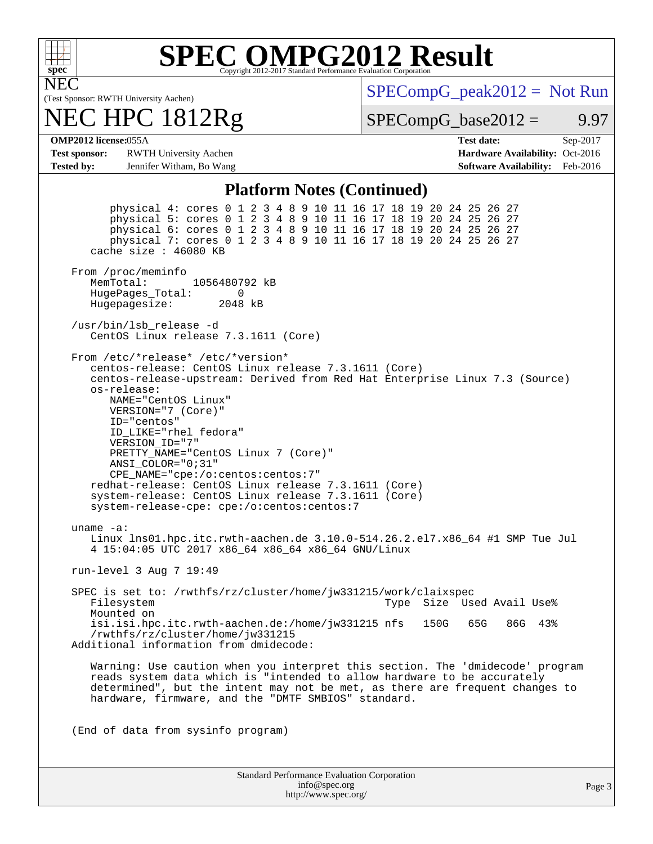

## **[SPEC OMPG2012 Result](http://www.spec.org/auto/omp2012/Docs/result-fields.html#SPECOMPG2012Result)**

NEC

#### (Test Sponsor: RWTH University Aachen) NEC HPC 1812Rg

 $SPECompG_peak2012 = Not Run$  $SPECompG_peak2012 = Not Run$ 

 $SPECompG_base2012 = 9.97$  $SPECompG_base2012 = 9.97$ 

**[OMP2012 license:](http://www.spec.org/auto/omp2012/Docs/result-fields.html#OMP2012license)**055A **[Test date:](http://www.spec.org/auto/omp2012/Docs/result-fields.html#Testdate)** Sep-2017

**[Test sponsor:](http://www.spec.org/auto/omp2012/Docs/result-fields.html#Testsponsor)** RWTH University Aachen **[Hardware Availability:](http://www.spec.org/auto/omp2012/Docs/result-fields.html#HardwareAvailability)** Oct-2016 **[Tested by:](http://www.spec.org/auto/omp2012/Docs/result-fields.html#Testedby)** Jennifer Witham, Bo Wang **[Software Availability:](http://www.spec.org/auto/omp2012/Docs/result-fields.html#SoftwareAvailability)** Feb-2016

#### **[Platform Notes \(Continued\)](http://www.spec.org/auto/omp2012/Docs/result-fields.html#PlatformNotes)**

 physical 4: cores 0 1 2 3 4 8 9 10 11 16 17 18 19 20 24 25 26 27 physical 5: cores 0 1 2 3 4 8 9 10 11 16 17 18 19 20 24 25 26 27 physical 6: cores 0 1 2 3 4 8 9 10 11 16 17 18 19 20 24 25 26 27 physical 7: cores 0 1 2 3 4 8 9 10 11 16 17 18 19 20 24 25 26 27 cache size : 46080 KB From /proc/meminfo MemTotal: 1056480792 kB HugePages\_Total: 0<br>Hugepagesize: 2048 kB Hugepagesize: /usr/bin/lsb\_release -d CentOS Linux release 7.3.1611 (Core) From /etc/\*release\* /etc/\*version\* centos-release: CentOS Linux release 7.3.1611 (Core) centos-release-upstream: Derived from Red Hat Enterprise Linux 7.3 (Source) os-release: NAME="CentOS Linux" VERSION="7 (Core)" ID="centos" ID\_LIKE="rhel fedora" VERSION\_ID="7" PRETTY\_NAME="CentOS Linux 7 (Core)" ANSI\_COLOR="0;31" CPE\_NAME="cpe:/o:centos:centos:7" redhat-release: CentOS Linux release 7.3.1611 (Core) system-release: CentOS Linux release 7.3.1611 (Core) system-release-cpe: cpe:/o:centos:centos:7 uname -a: Linux lns01.hpc.itc.rwth-aachen.de 3.10.0-514.26.2.el7.x86\_64 #1 SMP Tue Jul 4 15:04:05 UTC 2017 x86\_64 x86\_64 x86\_64 GNU/Linux run-level 3 Aug 7 19:49 SPEC is set to: /rwthfs/rz/cluster/home/jw331215/work/claixspec<br>Filesystem 1998 Type Size Used Avail Use% Mounted on isi.isi.hpc.itc.rwth-aachen.de:/home/jw331215 nfs 150G 65G 86G 43% /rwthfs/rz/cluster/home/jw331215 Additional information from dmidecode: Warning: Use caution when you interpret this section. The 'dmidecode' program reads system data which is "intended to allow hardware to be accurately determined", but the intent may not be met, as there are frequent changes to hardware, firmware, and the "DMTF SMBIOS" standard. (End of data from sysinfo program)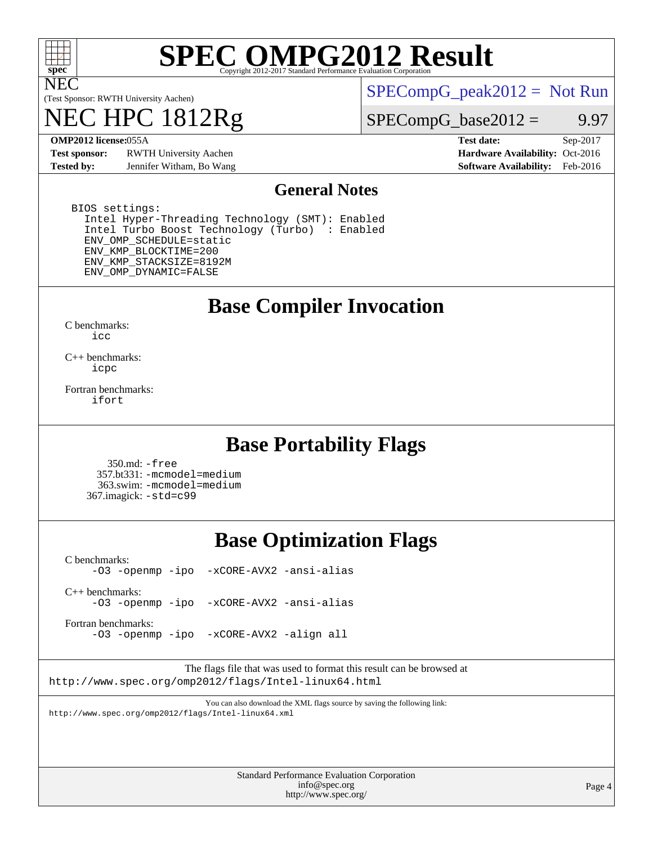

NEC

# **[SPEC OMPG2012 Result](http://www.spec.org/auto/omp2012/Docs/result-fields.html#SPECOMPG2012Result)**

(Test Sponsor: RWTH University Aachen)

## 1812Rg

 $SPECompG_peak2012 = Not Run$  $SPECompG_peak2012 = Not Run$ 

 $SPECompG_base2012 = 9.97$  $SPECompG_base2012 = 9.97$ 

**[Test sponsor:](http://www.spec.org/auto/omp2012/Docs/result-fields.html#Testsponsor)** RWTH University Aachen **[Hardware Availability:](http://www.spec.org/auto/omp2012/Docs/result-fields.html#HardwareAvailability)** Oct-2016 **[Tested by:](http://www.spec.org/auto/omp2012/Docs/result-fields.html#Testedby)** Jennifer Witham, Bo Wang **[Software Availability:](http://www.spec.org/auto/omp2012/Docs/result-fields.html#SoftwareAvailability)** Feb-2016

**[OMP2012 license:](http://www.spec.org/auto/omp2012/Docs/result-fields.html#OMP2012license)**055A **[Test date:](http://www.spec.org/auto/omp2012/Docs/result-fields.html#Testdate)** Sep-2017

#### **[General Notes](http://www.spec.org/auto/omp2012/Docs/result-fields.html#GeneralNotes)**

 BIOS settings: Intel Hyper-Threading Technology (SMT): Enabled Intel Turbo Boost Technology (Turbo) : Enabled ENV\_OMP\_SCHEDULE=static ENV\_KMP\_BLOCKTIME=200 ENV\_KMP\_STACKSIZE=8192M ENV\_OMP\_DYNAMIC=FALSE

### **[Base Compiler Invocation](http://www.spec.org/auto/omp2012/Docs/result-fields.html#BaseCompilerInvocation)**

[C benchmarks](http://www.spec.org/auto/omp2012/Docs/result-fields.html#Cbenchmarks): [icc](http://www.spec.org/omp2012/results/res2017q4/omp2012-20170927-00127.flags.html#user_CCbase_intel_icc_a87c68a857bc5ec5362391a49d3a37a6)

[C++ benchmarks:](http://www.spec.org/auto/omp2012/Docs/result-fields.html#CXXbenchmarks) [icpc](http://www.spec.org/omp2012/results/res2017q4/omp2012-20170927-00127.flags.html#user_CXXbase_intel_icpc_2d899f8d163502b12eb4a60069f80c1c)

[Fortran benchmarks](http://www.spec.org/auto/omp2012/Docs/result-fields.html#Fortranbenchmarks): [ifort](http://www.spec.org/omp2012/results/res2017q4/omp2012-20170927-00127.flags.html#user_FCbase_intel_ifort_8a5e5e06b19a251bdeaf8fdab5d62f20)

### **[Base Portability Flags](http://www.spec.org/auto/omp2012/Docs/result-fields.html#BasePortabilityFlags)**

 350.md: [-free](http://www.spec.org/omp2012/results/res2017q4/omp2012-20170927-00127.flags.html#user_baseFPORTABILITY350_md_f-FR_e51be0673775d2012b3310fa5323f530) 357.bt331: [-mcmodel=medium](http://www.spec.org/omp2012/results/res2017q4/omp2012-20170927-00127.flags.html#user_baseFPORTABILITY357_bt331_f-mcmodel_3a41622424bdd074c4f0f2d2f224c7e5) 363.swim: [-mcmodel=medium](http://www.spec.org/omp2012/results/res2017q4/omp2012-20170927-00127.flags.html#user_baseFPORTABILITY363_swim_f-mcmodel_3a41622424bdd074c4f0f2d2f224c7e5) 367.imagick: [-std=c99](http://www.spec.org/omp2012/results/res2017q4/omp2012-20170927-00127.flags.html#user_baseCPORTABILITY367_imagick_f-std_2ec6533b6e06f1c4a6c9b78d9e9cde24)

### **[Base Optimization Flags](http://www.spec.org/auto/omp2012/Docs/result-fields.html#BaseOptimizationFlags)**

[C benchmarks](http://www.spec.org/auto/omp2012/Docs/result-fields.html#Cbenchmarks): [-O3](http://www.spec.org/omp2012/results/res2017q4/omp2012-20170927-00127.flags.html#user_CCbase_f-O3) [-openmp](http://www.spec.org/omp2012/results/res2017q4/omp2012-20170927-00127.flags.html#user_CCbase_f-openmp) [-ipo](http://www.spec.org/omp2012/results/res2017q4/omp2012-20170927-00127.flags.html#user_CCbase_f-ipo_84062ab53814f613187d02344b8f49a7) [-xCORE-AVX2](http://www.spec.org/omp2012/results/res2017q4/omp2012-20170927-00127.flags.html#user_CCbase_f-xCORE-AVX2) [-ansi-alias](http://www.spec.org/omp2012/results/res2017q4/omp2012-20170927-00127.flags.html#user_CCbase_f-ansi-alias)

[C++ benchmarks:](http://www.spec.org/auto/omp2012/Docs/result-fields.html#CXXbenchmarks) [-O3](http://www.spec.org/omp2012/results/res2017q4/omp2012-20170927-00127.flags.html#user_CXXbase_f-O3) [-openmp](http://www.spec.org/omp2012/results/res2017q4/omp2012-20170927-00127.flags.html#user_CXXbase_f-openmp) [-ipo](http://www.spec.org/omp2012/results/res2017q4/omp2012-20170927-00127.flags.html#user_CXXbase_f-ipo_84062ab53814f613187d02344b8f49a7) [-xCORE-AVX2](http://www.spec.org/omp2012/results/res2017q4/omp2012-20170927-00127.flags.html#user_CXXbase_f-xCORE-AVX2) [-ansi-alias](http://www.spec.org/omp2012/results/res2017q4/omp2012-20170927-00127.flags.html#user_CXXbase_f-ansi-alias)

[Fortran benchmarks](http://www.spec.org/auto/omp2012/Docs/result-fields.html#Fortranbenchmarks):

[-O3](http://www.spec.org/omp2012/results/res2017q4/omp2012-20170927-00127.flags.html#user_FCbase_f-O3) [-openmp](http://www.spec.org/omp2012/results/res2017q4/omp2012-20170927-00127.flags.html#user_FCbase_f-openmp) [-ipo](http://www.spec.org/omp2012/results/res2017q4/omp2012-20170927-00127.flags.html#user_FCbase_f-ipo_84062ab53814f613187d02344b8f49a7) [-xCORE-AVX2](http://www.spec.org/omp2012/results/res2017q4/omp2012-20170927-00127.flags.html#user_FCbase_f-xCORE-AVX2) [-align all](http://www.spec.org/omp2012/results/res2017q4/omp2012-20170927-00127.flags.html#user_FCbase_f-align_1ebfa66158b49aff21b037afc4046011)

The flags file that was used to format this result can be browsed at <http://www.spec.org/omp2012/flags/Intel-linux64.html>

You can also download the XML flags source by saving the following link: <http://www.spec.org/omp2012/flags/Intel-linux64.xml>

> Standard Performance Evaluation Corporation [info@spec.org](mailto:info@spec.org) <http://www.spec.org/>